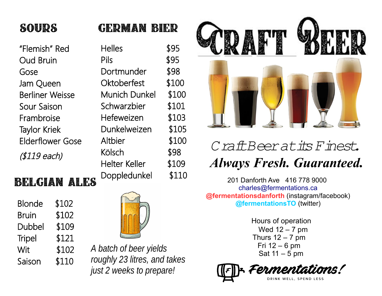## **SOURS**

"Flemish" Red Oud Bruin Gose Jam Queen Berliner Weisse Sour Saison Frambroise Taylor Kriek Elderflower Gose (\$119 each)

### Helles \$95 Pils \$95 Dortmunder \$98 Oktoberfest \$100 Munich Dunkel \$100 Schwarzbier \$101 Hefeweizen \$103 Dunkelweizen \$105

**GERMAN BIER** 

Altbier \$100 Kölsch \$98 Helter Keller \$109

### **BELGIAN ALES**

| <b>Blonde</b> | \$102 |
|---------------|-------|
| <b>Bruin</b>  | \$102 |
| Dubbel        | \$109 |
| <b>Tripel</b> | \$121 |
| Wit           | \$102 |
| Saison        | \$110 |



*A batch of beer yields roughly 23 litres, and takes just 2 weeks to prepare!*



# *Craft Beer at its Finest. Always Fresh. Guaranteed.*

Doppledunkel \$110 201 Danforth Ave 416 778 9000 [charles@fermentations.ca](mailto:charles@fermentations.ca) **@fermentationsdanforth** (instagram/facebook) **@fermentationsTO** (twitter)

> Hours of operation Wed 12 – 7 pm Thurs  $12 - 7$  pm Fri 12 – 6 pm Sat 11 – 5 pm